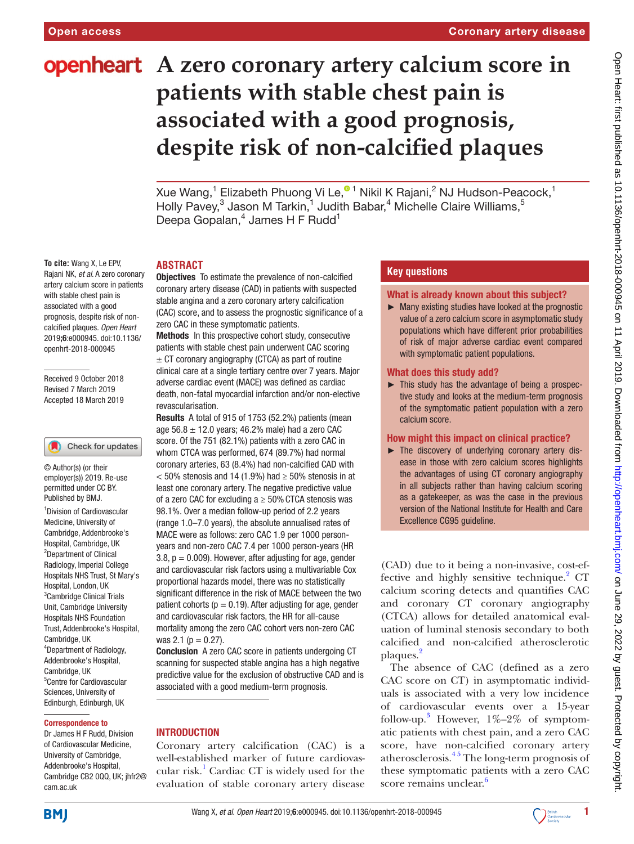**To cite:** Wang X, Le EPV,

Received 9 October 2018 Revised 7 March 2019 Accepted 18 March 2019

1 Division of Cardiovascular Medicine, University of Cambridge, Addenbrooke's Hospital, Cambridge, UK <sup>2</sup>Department of Clinical Radiology, Imperial College Hospitals NHS Trust, St Mary's Hospital, London, UK <sup>3</sup> Cambridge Clinical Trials Unit, Cambridge University Hospitals NHS Foundation Trust, Addenbrooke's Hospital,

Check for updates

© Author(s) (or their employer(s)) 2019. Re-use permitted under CC BY. Published by BMJ.

artery calcium score in patients with stable chest pain is associated with a good prognosis, despite risk of noncalcified plaques*. Open Heart* 2019;6:e000945. doi:10.1136/ openhrt-2018-000945

# **openheart** A zero coronary artery calcium score in **patients with stable chest pain is associated with a good prognosis, despite risk of non-calcified plaques**

Xue Wang[,](http://orcid.org/0000-0002-3065-1627)<sup>1</sup> Elizabeth Phuong Vi Le,®1 Nikil K Rajani,<sup>2</sup> NJ Hudson-Peacock,<sup>1</sup> Holly Pavey,<sup>3</sup> Jason M Tarkin,<sup>1</sup> Judith Babar,<sup>4</sup> Michelle Claire Williams,<sup>5</sup> Deepa Gopalan,<sup>4</sup> James H F Rudd<sup>1</sup>

#### Rajani NK*, et al*. A zero coronary **ABSTRACT**

Objectives To estimate the prevalence of non-calcified coronary artery disease (CAD) in patients with suspected stable angina and a zero coronary artery calcification (CAC) score, and to assess the prognostic significance of a zero CAC in these symptomatic patients.

Methods In this prospective cohort study, consecutive patients with stable chest pain underwent CAC scoring  $\pm$  CT coronary angiography (CTCA) as part of routine clinical care at a single tertiary centre over 7 years. Major adverse cardiac event (MACE) was defined as cardiac death, non-fatal myocardial infarction and/or non-elective revascularisation.

Results A total of 915 of 1753 (52.2%) patients (mean age  $56.8 \pm 12.0$  years; 46.2% male) had a zero CAC score. Of the 751 (82.1%) patients with a zero CAC in whom CTCA was performed, 674 (89.7%) had normal coronary arteries, 63 (8.4%) had non-calcified CAD with  $<$  50% stenosis and 14 (1.9%) had  $\ge$  50% stenosis in at least one coronary artery. The negative predictive value of a zero CAC for excluding  $a \geq 50\%$  CTCA stenosis was 98.1%. Over a median follow-up period of 2.2 years (range 1.0–7.0 years), the absolute annualised rates of MACE were as follows: zero CAC 1.9 per 1000 personyears and non-zero CAC 7.4 per 1000 person-years (HR  $3.8$ ,  $p = 0.009$ ). However, after adjusting for age, gender and cardiovascular risk factors using a multivariable Cox proportional hazards model, there was no statistically significant difference in the risk of MACE between the two patient cohorts ( $p = 0.19$ ). After adjusting for age, gender and cardiovascular risk factors, the HR for all-cause mortality among the zero CAC cohort vers non-zero CAC was 2.1 ( $p = 0.27$ ).

Conclusion A zero CAC score in patients undergoing CT scanning for suspected stable angina has a high negative predictive value for the exclusion of obstructive CAD and is associated with a good medium-term prognosis.

## **INTRODUCTION**

Coronary artery calcification (CAC) is a well-established marker of future cardiovascular risk.<sup>1</sup> Cardiac CT is widely used for the evaluation of stable coronary artery disease

## **Key questions**

What is already known about this subject?

► Many existing studies have looked at the prognostic value of a zero calcium score in asymptomatic study populations which have different prior probabilities of risk of major adverse cardiac event compared with symptomatic patient populations.

#### What does this study add?

► This study has the advantage of being a prospective study and looks at the medium-term prognosis of the symptomatic patient population with a zero calcium score.

#### How might this impact on clinical practice?

► The discovery of underlying coronary artery disease in those with zero calcium scores highlights the advantages of using CT coronary angiography in all subjects rather than having calcium scoring as a gatekeeper, as was the case in the previous version of the National Institute for Health and Care Excellence CG95 guideline.

(CAD) due to it being a non-invasive, cost-ef-fective and highly sensitive technique.<sup>[2](#page-5-1)</sup> CT calcium scoring detects and quantifies CAC and coronary CT coronary angiography (CTCA) allows for detailed anatomical evaluation of luminal stenosis secondary to both calcified and non-calcified atherosclerotic plaques.<sup>[2](#page-5-1)</sup>

The absence of CAC (defined as a zero CAC score on CT) in asymptomatic individuals is associated with a very low incidence of cardiovascular events over a 15-year follow-up.<sup>[3](#page-5-2)</sup> However,  $1\% - 2\%$  of symptomatic patients with chest pain, and a zero CAC score, have non-calcified coronary artery atherosclerosis. $4<sup>5</sup>$  The long-term prognosis of these symptomatic patients with a zero CAC score remains unclear.<sup>6</sup>

## cam.ac.uk **BMJ**

Cambridge, UK

4 Department of Radiology, Addenbrooke's Hospital, Cambridge, UK

5 Centre for Cardiovascular Sciences, University of Edinburgh, Edinburgh, UK Correspondence to Dr James H F Rudd, Division of Cardiovascular Medicine, University of Cambridge, Addenbrooke's Hospital, Cambridge CB2 0QQ, UK; jhfr2@

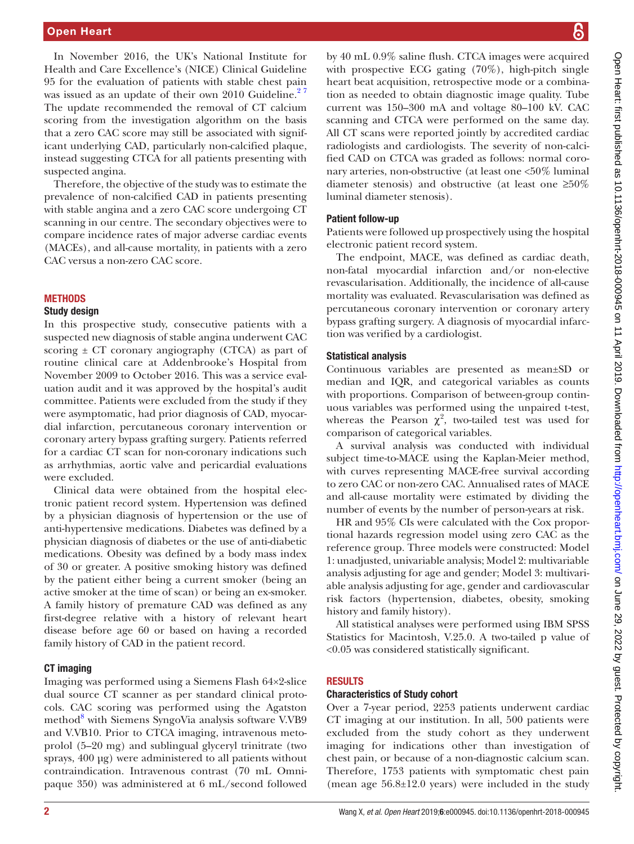In November 2016, the UK's National Institute for Health and Care Excellence's (NICE) Clinical Guideline 95 for the evaluation of patients with stable chest pain was issued as an update of their own 2010 Guideline.<sup>27</sup> The update recommended the removal of CT calcium scoring from the investigation algorithm on the basis that a zero CAC score may still be associated with significant underlying CAD, particularly non-calcified plaque, instead suggesting CTCA for all patients presenting with suspected angina.

Therefore, the objective of the study was to estimate the prevalence of non-calcified CAD in patients presenting with stable angina and a zero CAC score undergoing CT scanning in our centre. The secondary objectives were to compare incidence rates of major adverse cardiac events (MACEs), and all-cause mortality, in patients with a zero CAC versus a non-zero CAC score.

## **METHODS**

## Study design

In this prospective study, consecutive patients with a suspected new diagnosis of stable angina underwent CAC scoring  $\pm$  CT coronary angiography (CTCA) as part of routine clinical care at Addenbrooke's Hospital from November 2009 to October 2016. This was a service evaluation audit and it was approved by the hospital's audit committee. Patients were excluded from the study if they were asymptomatic, had prior diagnosis of CAD, myocardial infarction, percutaneous coronary intervention or coronary artery bypass grafting surgery. Patients referred for a cardiac CT scan for non-coronary indications such as arrhythmias, aortic valve and pericardial evaluations were excluded.

Clinical data were obtained from the hospital electronic patient record system. Hypertension was defined by a physician diagnosis of hypertension or the use of anti-hypertensive medications. Diabetes was defined by a physician diagnosis of diabetes or the use of anti-diabetic medications. Obesity was defined by a body mass index of 30 or greater. A positive smoking history was defined by the patient either being a current smoker (being an active smoker at the time of scan) or being an ex-smoker. A family history of premature CAD was defined as any first-degree relative with a history of relevant heart disease before age 60 or based on having a recorded family history of CAD in the patient record.

## CT imaging

Imaging was performed using a Siemens Flash 64×2-slice dual source CT scanner as per standard clinical protocols. CAC scoring was performed using the Agatston method<sup>[8](#page-5-5)</sup> with Siemens SyngoVia analysis software V.VB9 and V.VB10. Prior to CTCA imaging, intravenous metoprolol (5–20 mg) and sublingual glyceryl trinitrate (two sprays, 400 μg) were administered to all patients without contraindication. Intravenous contrast (70 mL Omnipaque 350) was administered at 6 mL/second followed

by 40 mL 0.9% saline flush. CTCA images were acquired with prospective ECG gating (70%), high-pitch single heart beat acquisition, retrospective mode or a combination as needed to obtain diagnostic image quality. Tube current was 150–300 mA and voltage 80–100 kV. CAC scanning and CTCA were performed on the same day. All CT scans were reported jointly by accredited cardiac radiologists and cardiologists. The severity of non-calcified CAD on CTCA was graded as follows: normal coronary arteries, non-obstructive (at least one <50% luminal diameter stenosis) and obstructive (at least one ≥50% luminal diameter stenosis).

## Patient follow-up

Patients were followed up prospectively using the hospital electronic patient record system.

The endpoint, MACE, was defined as cardiac death, non-fatal myocardial infarction and/or non-elective revascularisation. Additionally, the incidence of all-cause mortality was evaluated. Revascularisation was defined as percutaneous coronary intervention or coronary artery bypass grafting surgery. A diagnosis of myocardial infarction was verified by a cardiologist.

## Statistical analysis

Continuous variables are presented as mean±SD or median and IQR, and categorical variables as counts with proportions. Comparison of between-group continuous variables was performed using the unpaired t-test, whereas the Pearson  $\chi^2$ , two-tailed test was used for comparison of categorical variables.

A survival analysis was conducted with individual subject time-to-MACE using the Kaplan-Meier method, with curves representing MACE-free survival according to zero CAC or non-zero CAC. Annualised rates of MACE and all-cause mortality were estimated by dividing the number of events by the number of person-years at risk.

HR and 95% CIs were calculated with the Cox proportional hazards regression model using zero CAC as the reference group. Three models were constructed: Model 1: unadjusted, univariable analysis; Model 2: multivariable analysis adjusting for age and gender; Model 3: multivariable analysis adjusting for age, gender and cardiovascular risk factors (hypertension, diabetes, obesity, smoking history and family history).

All statistical analyses were performed using IBM SPSS Statistics for Macintosh, V.25.0. A two-tailed p value of <0.05 was considered statistically significant.

## **RESULTS**

#### Characteristics of Study cohort

Over a 7-year period, 2253 patients underwent cardiac CT imaging at our institution. In all, 500 patients were excluded from the study cohort as they underwent imaging for indications other than investigation of chest pain, or because of a non-diagnostic calcium scan. Therefore, 1753 patients with symptomatic chest pain (mean age 56.8±12.0 years) were included in the study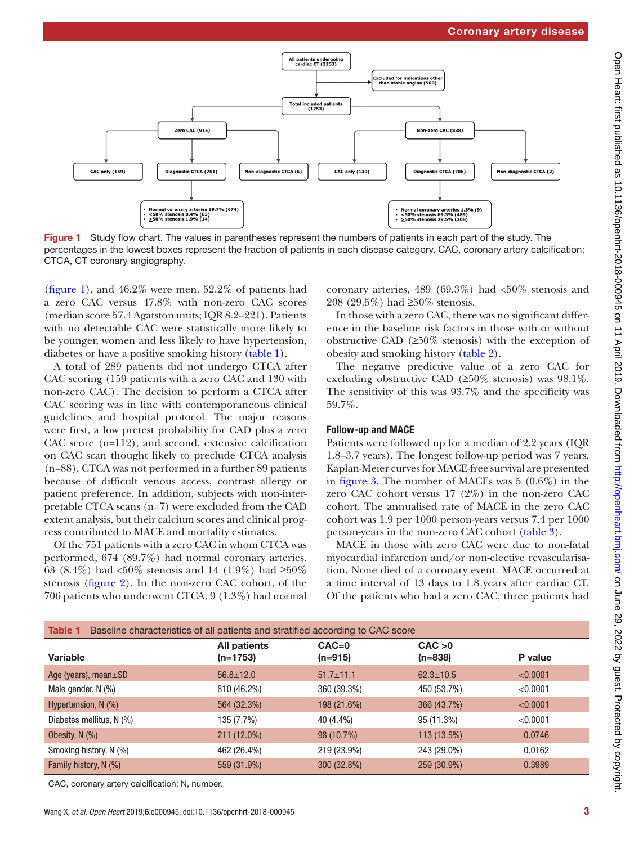

<span id="page-2-0"></span>Figure 1 Study flow chart. The values in parentheses represent the numbers of patients in each part of the study. The percentages in the lowest boxes represent the fraction of patients in each disease category. CAC, coronary artery calcification; CTCA, CT coronary angiography.

([figure](#page-2-0) 1), and 46.2% were men. 52.2% of patients had a zero CAC versus 47.8% with non-zero CAC scores (median score 57.4 Agatston units; IQR 8.2–221). Patients with no detectable CAC were statistically more likely to be younger, women and less likely to have hypertension, diabetes or have a positive smoking history ([table](#page-2-1) 1).

A total of 289 patients did not undergo CTCA after CAC scoring (159 patients with a zero CAC and 130 with non-zero CAC). The decision to perform a CTCA after CAC scoring was in line with contemporaneous clinical guidelines and hospital protocol. The major reasons were first, a low pretest probability for CAD plus a zero CAC score (n=112), and second, extensive calcification on CAC scan thought likely to preclude CTCA analysis (n=88). CTCA was not performed in a further 89 patients because of difficult venous access, contrast allergy or patient preference. In addition, subjects with non-interpretable CTCA scans (n=7) were excluded from the CAD extent analysis, but their calcium scores and clinical progress contributed to MACE and mortality estimates.

Of the 751 patients with a zero CAC in whom CTCA was performed, 674 (89.7%) had normal coronary arteries, 63 (8.4%) had <50% stenosis and 14 (1.9%) had ≥50% stenosis [\(figure](#page-3-0) 2). In the non-zero CAC cohort, of the 706 patients who underwent CTCA, 9 (1.3%) had normal coronary arteries, 489 (69.3%) had <50% stenosis and 208 (29.5%) had ≥50% stenosis.

In those with a zero CAC, there was no significant difference in the baseline risk factors in those with or without obstructive CAD (≥50% stenosis) with the exception of obesity and smoking history ([table](#page-3-1) 2).

The negative predictive value of a zero CAC for excluding obstructive CAD ( $\geq 50\%$  stenosis) was 98.1%. The sensitivity of this was 93.7% and the specificity was 59.7%.

## Follow-up and MACE

Patients were followed up for a median of 2.2 years (IQR 1.8–3.7 years). The longest follow-up period was 7 years. Kaplan-Meier curves for MACE-free survival are presented in [figure](#page-4-0) 3. The number of MACEs was 5 (0.6%) in the zero CAC cohort versus 17 (2%) in the non-zero CAC cohort. The annualised rate of MACE in the zero CAC cohort was 1.9 per 1000 person-years versus 7.4 per 1000 person-years in the non-zero CAC cohort ([table](#page-4-1) 3).

MACE in those with zero CAC were due to non-fatal myocardial infarction and/or non-elective revascularisation. None died of a coronary event. MACE occurred at a time interval of 13 days to 1.8 years after cardiac CT. Of the patients who had a zero CAC, three patients had

<span id="page-2-1"></span>

| Baseline characteristics of all patients and stratified according to CAC score<br>Table 1 |                                   |                      |                      |          |  |  |
|-------------------------------------------------------------------------------------------|-----------------------------------|----------------------|----------------------|----------|--|--|
| Variable                                                                                  | <b>All patients</b><br>$(n=1753)$ | $CAC=0$<br>$(n=915)$ | CAC > 0<br>$(n=838)$ | P value  |  |  |
| Age (years), mean $\pm$ SD                                                                | $56.8 \pm 12.0$                   | $51.7 \pm 11.1$      | $62.3 \pm 10.5$      | < 0.0001 |  |  |
| Male gender, N (%)                                                                        | 810 (46.2%)                       | 360 (39.3%)          | 450 (53.7%)          | < 0.0001 |  |  |
| Hypertension, N (%)                                                                       | 564 (32.3%)                       | 198 (21.6%)          | 366 (43.7%)          | < 0.0001 |  |  |
| Diabetes mellitus, N (%)                                                                  | 135 (7.7%)                        | 40 (4.4%)            | 95 (11.3%)           | < 0.0001 |  |  |
| Obesity, $N$ $(\%)$                                                                       | 211 (12.0%)                       | 98 (10.7%)           | 113 (13.5%)          | 0.0746   |  |  |
| Smoking history, N (%)                                                                    | 462 (26.4%)                       | 219 (23.9%)          | 243 (29.0%)          | 0.0162   |  |  |
| Family history, N (%)                                                                     | 559 (31.9%)                       | 300 (32.8%)          | 259 (30.9%)          | 0.3989   |  |  |

CAC, coronary artery calcification; N, number.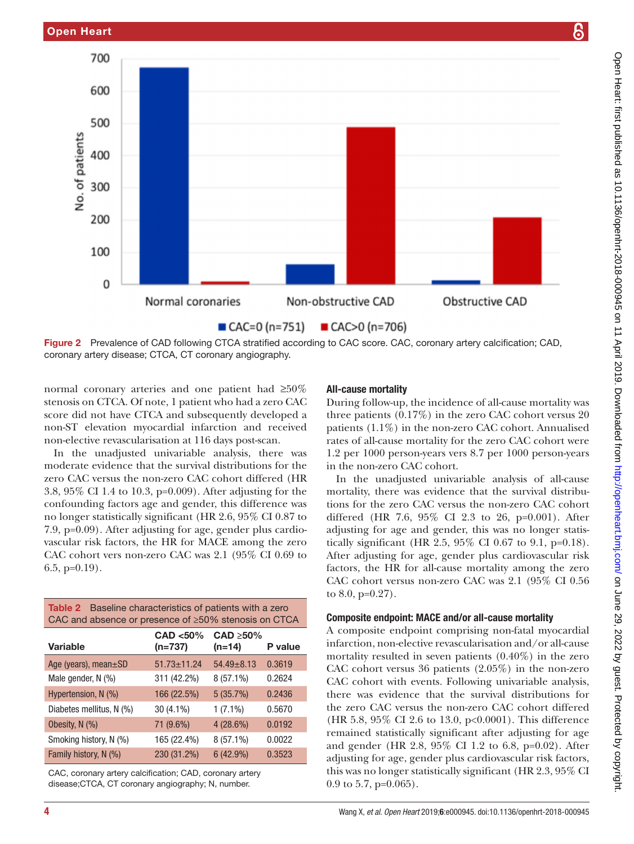

<span id="page-3-0"></span>normal coronary arteries and one patient had ≥50% stenosis on CTCA. Of note, 1 patient who had a zero CAC score did not have CTCA and subsequently developed a non-ST elevation myocardial infarction and received non-elective revascularisation at 116 days post-scan.

In the unadjusted univariable analysis, there was moderate evidence that the survival distributions for the zero CAC versus the non-zero CAC cohort differed (HR 3.8, 95% CI 1.4 to 10.3, p=0.009). After adjusting for the confounding factors age and gender, this difference was no longer statistically significant (HR 2.6, 95% CI 0.87 to 7.9, p=0.09). After adjusting for age, gender plus cardiovascular risk factors, the HR for MACE among the zero CAC cohort vers non-zero CAC was 2.1 (95% CI 0.69 to 6.5, p=0.19).

<span id="page-3-1"></span>

| <b>Table 2</b> Baseline characteristics of patients with a zero<br>CAC and absence or presence of ≥50% stenosis on CTCA |                       |                             |         |  |  |  |
|-------------------------------------------------------------------------------------------------------------------------|-----------------------|-----------------------------|---------|--|--|--|
| <b>Variable</b>                                                                                                         | CAD <50%<br>$(n=737)$ | $CAD \geq 50\%$<br>$(n=14)$ | P value |  |  |  |
| Age (years), mean±SD                                                                                                    | $51.73 \pm 11.24$     | $54.49 \pm 8.13$            | 0.3619  |  |  |  |
| Male gender, N (%)                                                                                                      | 311 (42.2%)           | $8(57.1\%)$                 | 0.2624  |  |  |  |
| Hypertension, N (%)                                                                                                     | 166 (22.5%)           | 5(35.7%)                    | 0.2436  |  |  |  |
| Diabetes mellitus, N (%)                                                                                                | 30 (4.1%)             | $1(7.1\%)$                  | 0.5670  |  |  |  |
| Obesity, N (%)                                                                                                          | 71 (9.6%)             | $4(28.6\%)$                 | 0.0192  |  |  |  |
| Smoking history, N (%)                                                                                                  | 165 (22.4%)           | $8(57.1\%)$                 | 0.0022  |  |  |  |
| Family history, N (%)                                                                                                   | 230 (31.2%)           | 6(42.9%)                    | 0.3523  |  |  |  |

CAC, coronary artery calcification; CAD, coronary artery disease;CTCA, CT coronary angiography; N, number.

## All-cause mortality

During follow-up, the incidence of all-cause mortality was three patients (0.17%) in the zero CAC cohort versus 20 patients (1.1%) in the non-zero CAC cohort. Annualised rates of all-cause mortality for the zero CAC cohort were 1.2 per 1000 person-years vers 8.7 per 1000 person-years in the non-zero CAC cohort.

In the unadjusted univariable analysis of all-cause mortality, there was evidence that the survival distributions for the zero CAC versus the non-zero CAC cohort differed (HR 7.6, 95% CI 2.3 to 26, p=0.001). After adjusting for age and gender, this was no longer statistically significant (HR 2.5, 95% CI 0.67 to 9.1, p=0.18). After adjusting for age, gender plus cardiovascular risk factors, the HR for all-cause mortality among the zero CAC cohort versus non-zero CAC was 2.1 (95% CI 0.56 to 8.0, p=0.27).

## Composite endpoint: MACE and/or all-cause mortality

A composite endpoint comprising non-fatal myocardial infarction, non-elective revascularisation and/or all-cause mortality resulted in seven patients (0.40%) in the zero CAC cohort versus 36 patients (2.05%) in the non-zero CAC cohort with events. Following univariable analysis, there was evidence that the survival distributions for the zero CAC versus the non-zero CAC cohort differed (HR 5.8, 95% CI 2.6 to 13.0, p<0.0001). This difference remained statistically significant after adjusting for age and gender (HR 2.8, 95% CI 1.2 to 6.8, p=0.02). After adjusting for age, gender plus cardiovascular risk factors, this was no longer statistically significant (HR 2.3, 95% CI 0.9 to 5.7,  $p=0.065$ ).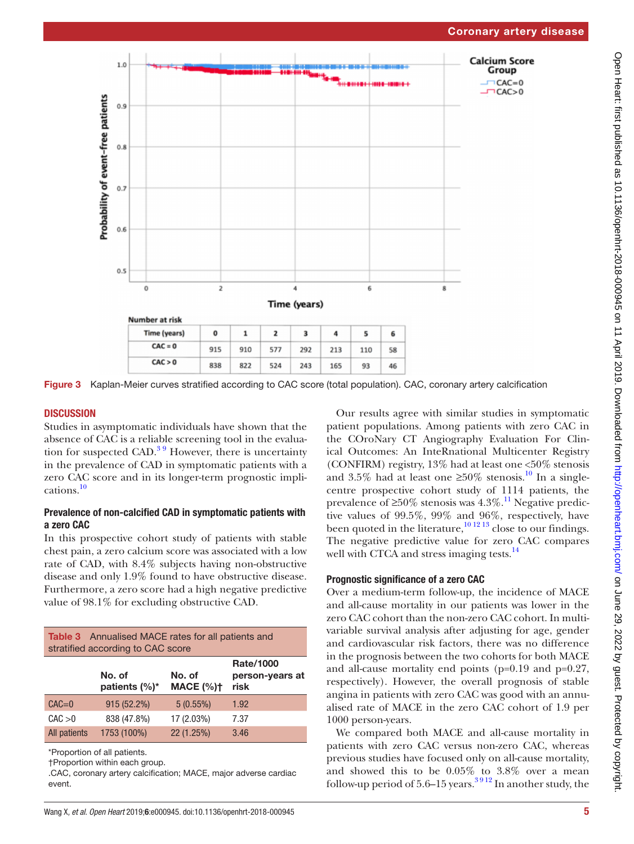

<span id="page-4-0"></span>Figure 3 Kaplan-Meier curves stratified according to CAC score (total population). CAC, coronary artery calcification

## **DISCUSSION**

Studies in asymptomatic individuals have shown that the absence of CAC is a reliable screening tool in the evaluation for suspected CAD. $39$  However, there is uncertainty in the prevalence of CAD in symptomatic patients with a zero CAC score and in its longer-term prognostic implications.[10](#page-5-6)

## Prevalence of non-calcified CAD in symptomatic patients with a zero CAC

In this prospective cohort study of patients with stable chest pain, a zero calcium score was associated with a low rate of CAD, with 8.4% subjects having non-obstructive disease and only 1.9% found to have obstructive disease. Furthermore, a zero score had a high negative predictive value of 98.1% for excluding obstructive CAD.

<span id="page-4-1"></span>

| <b>Table 3</b> Annualised MACE rates for all patients and<br>stratified according to CAC score |                             |                            |                                             |  |  |  |
|------------------------------------------------------------------------------------------------|-----------------------------|----------------------------|---------------------------------------------|--|--|--|
|                                                                                                | No. of<br>patients $(\%)^*$ | No. of<br><b>MACE (%)t</b> | <b>Rate/1000</b><br>person-years at<br>risk |  |  |  |
| $CAC=0$                                                                                        | $915(52.2\%)$               | $5(0.55\%)$                | 1.92                                        |  |  |  |
| CAC > 0                                                                                        | 838 (47.8%)                 | 17 (2.03%)                 | 7.37                                        |  |  |  |
| <b>All patients</b>                                                                            | 1753 (100%)                 | 22 (1.25%)                 | 3.46                                        |  |  |  |

\*Proportion of all patients.

†Proportion within each group.

.CAC, coronary artery calcification; MACE, major adverse cardiac event.

Our results agree with similar studies in symptomatic patient populations. Among patients with zero CAC in the COroNary CT Angiography Evaluation For Clinical Outcomes: An InteRnational Multicenter Registry (CONFIRM) registry,  $13\%$  had at least one  $\langle 50\%$  stenosis and 3.5% had at least one  $\geq 50\%$  stenosis.<sup>10</sup> In a singlecentre prospective cohort study of 1114 patients, the prevalence of  $\geq 50\%$  stenosis was 4.3%.<sup>[11](#page-5-7)</sup> Negative predictive values of 99.5%, 99% and 96%, respectively, have been quoted in the literature,  $\frac{10^{12}}{13}$  close to our findings. The negative predictive value for zero CAC compares well with CTCA and stress imaging tests.<sup>[14](#page-5-8)</sup>

## Prognostic significance of a zero CAC

Over a medium-term follow-up, the incidence of MACE and all-cause mortality in our patients was lower in the zero CAC cohort than the non-zero CAC cohort. In multivariable survival analysis after adjusting for age, gender and cardiovascular risk factors, there was no difference in the prognosis between the two cohorts for both MACE and all-cause mortality end points (p=0.19 and p=0.27, respectively). However, the overall prognosis of stable angina in patients with zero CAC was good with an annualised rate of MACE in the zero CAC cohort of 1.9 per 1000 person-years.

We compared both MACE and all-cause mortality in patients with zero CAC versus non-zero CAC, whereas previous studies have focused only on all-cause mortality, and showed this to be 0.05% to 3.8% over a mean follow-up period of 5.6–15 years.<sup>3912</sup> In another study, the